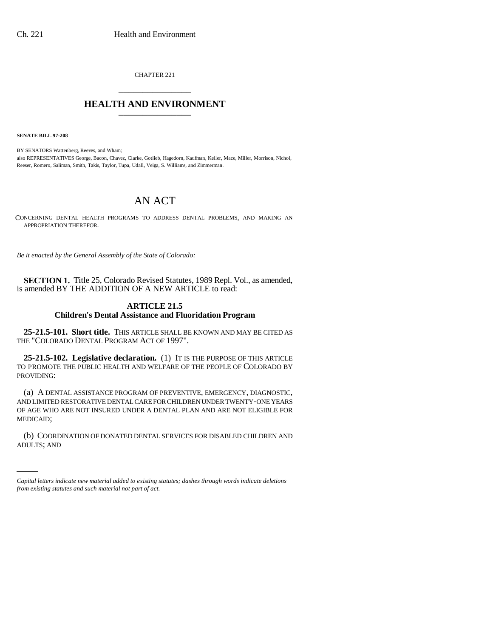CHAPTER 221 \_\_\_\_\_\_\_\_\_\_\_\_\_\_\_

## **HEALTH AND ENVIRONMENT** \_\_\_\_\_\_\_\_\_\_\_\_\_\_\_

**SENATE BILL 97-208**

BY SENATORS Wattenberg, Reeves, and Wham; also REPRESENTATIVES George, Bacon, Chavez, Clarke, Gotlieb, Hagedorn, Kaufman, Keller, Mace, Miller, Morrison, Nichol, Reeser, Romero, Saliman, Smith, Takis, Taylor, Tupa, Udall, Veiga, S. Williams, and Zimmerman.

## AN ACT

CONCERNING DENTAL HEALTH PROGRAMS TO ADDRESS DENTAL PROBLEMS, AND MAKING AN APPROPRIATION THEREFOR.

*Be it enacted by the General Assembly of the State of Colorado:*

**SECTION 1.** Title 25, Colorado Revised Statutes, 1989 Repl. Vol., as amended, is amended BY THE ADDITION OF A NEW ARTICLE to read:

## **ARTICLE 21.5 Children's Dental Assistance and Fluoridation Program**

**25-21.5-101. Short title.** THIS ARTICLE SHALL BE KNOWN AND MAY BE CITED AS THE "COLORADO DENTAL PROGRAM ACT OF 1997".

**25-21.5-102. Legislative declaration.** (1) IT IS THE PURPOSE OF THIS ARTICLE TO PROMOTE THE PUBLIC HEALTH AND WELFARE OF THE PEOPLE OF COLORADO BY PROVIDING:

(a) A DENTAL ASSISTANCE PROGRAM OF PREVENTIVE, EMERGENCY, DIAGNOSTIC, AND LIMITED RESTORATIVE DENTAL CARE FOR CHILDREN UNDER TWENTY-ONE YEARS OF AGE WHO ARE NOT INSURED UNDER A DENTAL PLAN AND ARE NOT ELIGIBLE FOR MEDICAID;

(b) COORDINATION OF DONATED DENTAL SERVICES FOR DISABLED CHILDREN AND ADULTS; AND

*Capital letters indicate new material added to existing statutes; dashes through words indicate deletions from existing statutes and such material not part of act.*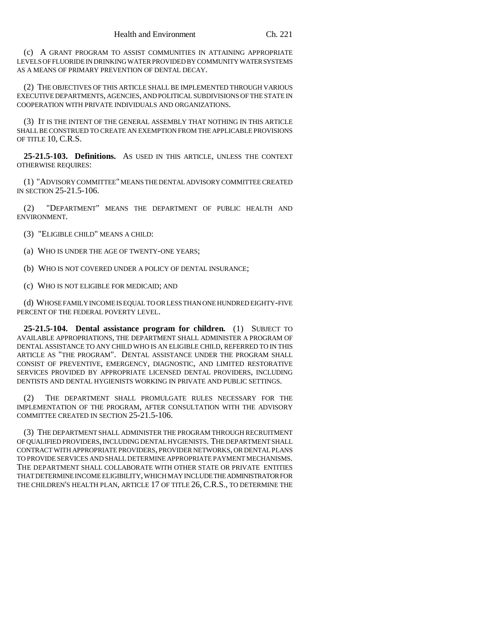(c) A GRANT PROGRAM TO ASSIST COMMUNITIES IN ATTAINING APPROPRIATE LEVELS OF FLUORIDE IN DRINKING WATER PROVIDED BY COMMUNITY WATER SYSTEMS AS A MEANS OF PRIMARY PREVENTION OF DENTAL DECAY.

(2) THE OBJECTIVES OF THIS ARTICLE SHALL BE IMPLEMENTED THROUGH VARIOUS EXECUTIVE DEPARTMENTS, AGENCIES, AND POLITICAL SUBDIVISIONS OF THE STATE IN COOPERATION WITH PRIVATE INDIVIDUALS AND ORGANIZATIONS.

(3) IT IS THE INTENT OF THE GENERAL ASSEMBLY THAT NOTHING IN THIS ARTICLE SHALL BE CONSTRUED TO CREATE AN EXEMPTION FROM THE APPLICABLE PROVISIONS OF TITLE 10, C.R.S.

**25-21.5-103. Definitions.** AS USED IN THIS ARTICLE, UNLESS THE CONTEXT OTHERWISE REQUIRES:

(1) "ADVISORY COMMITTEE" MEANS THE DENTAL ADVISORY COMMITTEE CREATED IN SECTION 25-21.5-106.

(2) "DEPARTMENT" MEANS THE DEPARTMENT OF PUBLIC HEALTH AND ENVIRONMENT.

- (3) "ELIGIBLE CHILD" MEANS A CHILD:
- (a) WHO IS UNDER THE AGE OF TWENTY-ONE YEARS;
- (b) WHO IS NOT COVERED UNDER A POLICY OF DENTAL INSURANCE;
- (c) WHO IS NOT ELIGIBLE FOR MEDICAID; AND

(d) WHOSE FAMILY INCOME IS EQUAL TO OR LESS THAN ONE HUNDRED EIGHTY-FIVE PERCENT OF THE FEDERAL POVERTY LEVEL.

**25-21.5-104. Dental assistance program for children.** (1) SUBJECT TO AVAILABLE APPROPRIATIONS, THE DEPARTMENT SHALL ADMINISTER A PROGRAM OF DENTAL ASSISTANCE TO ANY CHILD WHO IS AN ELIGIBLE CHILD, REFERRED TO IN THIS ARTICLE AS "THE PROGRAM". DENTAL ASSISTANCE UNDER THE PROGRAM SHALL CONSIST OF PREVENTIVE, EMERGENCY, DIAGNOSTIC, AND LIMITED RESTORATIVE SERVICES PROVIDED BY APPROPRIATE LICENSED DENTAL PROVIDERS, INCLUDING DENTISTS AND DENTAL HYGIENISTS WORKING IN PRIVATE AND PUBLIC SETTINGS.

(2) THE DEPARTMENT SHALL PROMULGATE RULES NECESSARY FOR THE IMPLEMENTATION OF THE PROGRAM, AFTER CONSULTATION WITH THE ADVISORY COMMITTEE CREATED IN SECTION 25-21.5-106.

(3) THE DEPARTMENT SHALL ADMINISTER THE PROGRAM THROUGH RECRUITMENT OF QUALIFIED PROVIDERS, INCLUDING DENTAL HYGIENISTS. THE DEPARTMENT SHALL CONTRACT WITH APPROPRIATE PROVIDERS, PROVIDER NETWORKS, OR DENTAL PLANS TO PROVIDE SERVICES AND SHALL DETERMINE APPROPRIATE PAYMENT MECHANISMS. THE DEPARTMENT SHALL COLLABORATE WITH OTHER STATE OR PRIVATE ENTITIES THAT DETERMINE INCOME ELIGIBILITY, WHICH MAY INCLUDE THE ADMINISTRATOR FOR THE CHILDREN'S HEALTH PLAN, ARTICLE 17 OF TITLE 26, C.R.S., TO DETERMINE THE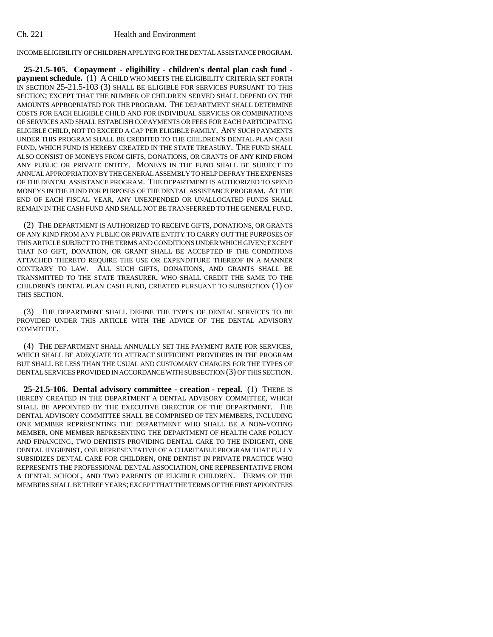## Ch. 221 Health and Environment

INCOME ELIGIBILITY OF CHILDREN APPLYING FOR THE DENTAL ASSISTANCE PROGRAM.

**25-21.5-105. Copayment - eligibility - children's dental plan cash fund payment schedule.** (1) A CHILD WHO MEETS THE ELIGIBILITY CRITERIA SET FORTH IN SECTION 25-21.5-103 (3) SHALL BE ELIGIBLE FOR SERVICES PURSUANT TO THIS SECTION; EXCEPT THAT THE NUMBER OF CHILDREN SERVED SHALL DEPEND ON THE AMOUNTS APPROPRIATED FOR THE PROGRAM. THE DEPARTMENT SHALL DETERMINE COSTS FOR EACH ELIGIBLE CHILD AND FOR INDIVIDUAL SERVICES OR COMBINATIONS OF SERVICES AND SHALL ESTABLISH COPAYMENTS OR FEES FOR EACH PARTICIPATING ELIGIBLE CHILD, NOT TO EXCEED A CAP PER ELIGIBLE FAMILY. ANY SUCH PAYMENTS UNDER THIS PROGRAM SHALL BE CREDITED TO THE CHILDREN'S DENTAL PLAN CASH FUND, WHICH FUND IS HEREBY CREATED IN THE STATE TREASURY. THE FUND SHALL ALSO CONSIST OF MONEYS FROM GIFTS, DONATIONS, OR GRANTS OF ANY KIND FROM ANY PUBLIC OR PRIVATE ENTITY. MONEYS IN THE FUND SHALL BE SUBJECT TO ANNUAL APPROPRIATION BY THE GENERAL ASSEMBLY TO HELP DEFRAY THE EXPENSES OF THE DENTAL ASSISTANCE PROGRAM. THE DEPARTMENT IS AUTHORIZED TO SPEND MONEYS IN THE FUND FOR PURPOSES OF THE DENTAL ASSISTANCE PROGRAM. AT THE END OF EACH FISCAL YEAR, ANY UNEXPENDED OR UNALLOCATED FUNDS SHALL REMAIN IN THE CASH FUND AND SHALL NOT BE TRANSFERRED TO THE GENERAL FUND.

(2) THE DEPARTMENT IS AUTHORIZED TO RECEIVE GIFTS, DONATIONS, OR GRANTS OF ANY KIND FROM ANY PUBLIC OR PRIVATE ENTITY TO CARRY OUT THE PURPOSES OF THIS ARTICLE SUBJECT TO THE TERMS AND CONDITIONS UNDER WHICH GIVEN; EXCEPT THAT NO GIFT, DONATION, OR GRANT SHALL BE ACCEPTED IF THE CONDITIONS ATTACHED THERETO REQUIRE THE USE OR EXPENDITURE THEREOF IN A MANNER CONTRARY TO LAW. ALL SUCH GIFTS, DONATIONS, AND GRANTS SHALL BE TRANSMITTED TO THE STATE TREASURER, WHO SHALL CREDIT THE SAME TO THE CHILDREN'S DENTAL PLAN CASH FUND, CREATED PURSUANT TO SUBSECTION (1) OF THIS SECTION.

(3) THE DEPARTMENT SHALL DEFINE THE TYPES OF DENTAL SERVICES TO BE PROVIDED UNDER THIS ARTICLE WITH THE ADVICE OF THE DENTAL ADVISORY COMMITTEE.

(4) THE DEPARTMENT SHALL ANNUALLY SET THE PAYMENT RATE FOR SERVICES, WHICH SHALL BE ADEQUATE TO ATTRACT SUFFICIENT PROVIDERS IN THE PROGRAM BUT SHALL BE LESS THAN THE USUAL AND CUSTOMARY CHARGES FOR THE TYPES OF DENTAL SERVICES PROVIDED IN ACCORDANCE WITH SUBSECTION (3) OF THIS SECTION.

**25-21.5-106. Dental advisory committee - creation - repeal.** (1) THERE IS HEREBY CREATED IN THE DEPARTMENT A DENTAL ADVISORY COMMITTEE, WHICH SHALL BE APPOINTED BY THE EXECUTIVE DIRECTOR OF THE DEPARTMENT. THE DENTAL ADVISORY COMMITTEE SHALL BE COMPRISED OF TEN MEMBERS, INCLUDING ONE MEMBER REPRESENTING THE DEPARTMENT WHO SHALL BE A NON-VOTING MEMBER, ONE MEMBER REPRESENTING THE DEPARTMENT OF HEALTH CARE POLICY AND FINANCING, TWO DENTISTS PROVIDING DENTAL CARE TO THE INDIGENT, ONE DENTAL HYGIENIST, ONE REPRESENTATIVE OF A CHARITABLE PROGRAM THAT FULLY SUBSIDIZES DENTAL CARE FOR CHILDREN, ONE DENTIST IN PRIVATE PRACTICE WHO REPRESENTS THE PROFESSIONAL DENTAL ASSOCIATION, ONE REPRESENTATIVE FROM A DENTAL SCHOOL, AND TWO PARENTS OF ELIGIBLE CHILDREN. TERMS OF THE MEMBERS SHALL BE THREE YEARS; EXCEPT THAT THE TERMS OF THE FIRST APPOINTEES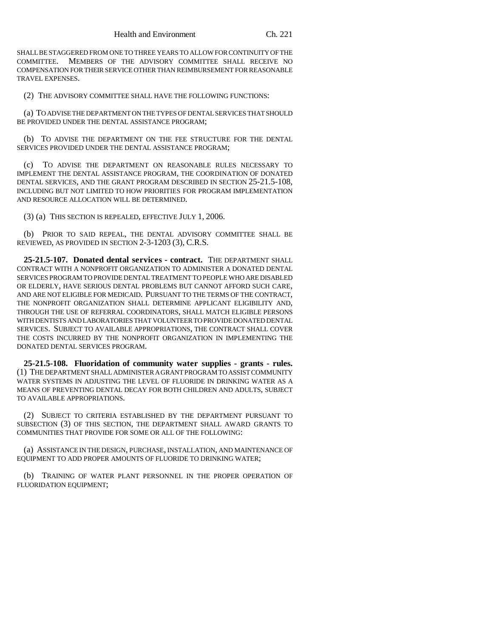SHALL BE STAGGERED FROM ONE TO THREE YEARS TO ALLOW FOR CONTINUITY OF THE COMMITTEE. MEMBERS OF THE ADVISORY COMMITTEE SHALL RECEIVE NO COMPENSATION FOR THEIR SERVICE OTHER THAN REIMBURSEMENT FOR REASONABLE TRAVEL EXPENSES.

(2) THE ADVISORY COMMITTEE SHALL HAVE THE FOLLOWING FUNCTIONS:

(a) TO ADVISE THE DEPARTMENT ON THE TYPES OF DENTAL SERVICES THAT SHOULD BE PROVIDED UNDER THE DENTAL ASSISTANCE PROGRAM;

(b) TO ADVISE THE DEPARTMENT ON THE FEE STRUCTURE FOR THE DENTAL SERVICES PROVIDED UNDER THE DENTAL ASSISTANCE PROGRAM;

(c) TO ADVISE THE DEPARTMENT ON REASONABLE RULES NECESSARY TO IMPLEMENT THE DENTAL ASSISTANCE PROGRAM, THE COORDINATION OF DONATED DENTAL SERVICES, AND THE GRANT PROGRAM DESCRIBED IN SECTION 25-21.5-108, INCLUDING BUT NOT LIMITED TO HOW PRIORITIES FOR PROGRAM IMPLEMENTATION AND RESOURCE ALLOCATION WILL BE DETERMINED.

(3) (a) THIS SECTION IS REPEALED, EFFECTIVE JULY 1, 2006.

(b) PRIOR TO SAID REPEAL, THE DENTAL ADVISORY COMMITTEE SHALL BE REVIEWED, AS PROVIDED IN SECTION 2-3-1203 (3), C.R.S.

**25-21.5-107. Donated dental services - contract.** THE DEPARTMENT SHALL CONTRACT WITH A NONPROFIT ORGANIZATION TO ADMINISTER A DONATED DENTAL SERVICES PROGRAM TO PROVIDE DENTAL TREATMENT TO PEOPLE WHO ARE DISABLED OR ELDERLY, HAVE SERIOUS DENTAL PROBLEMS BUT CANNOT AFFORD SUCH CARE, AND ARE NOT ELIGIBLE FOR MEDICAID. PURSUANT TO THE TERMS OF THE CONTRACT, THE NONPROFIT ORGANIZATION SHALL DETERMINE APPLICANT ELIGIBILITY AND, THROUGH THE USE OF REFERRAL COORDINATORS, SHALL MATCH ELIGIBLE PERSONS WITH DENTISTS AND LABORATORIES THAT VOLUNTEER TO PROVIDE DONATED DENTAL SERVICES. SUBJECT TO AVAILABLE APPROPRIATIONS, THE CONTRACT SHALL COVER THE COSTS INCURRED BY THE NONPROFIT ORGANIZATION IN IMPLEMENTING THE DONATED DENTAL SERVICES PROGRAM.

**25-21.5-108. Fluoridation of community water supplies - grants - rules.** (1) THE DEPARTMENT SHALL ADMINISTER A GRANT PROGRAM TO ASSIST COMMUNITY WATER SYSTEMS IN ADJUSTING THE LEVEL OF FLUORIDE IN DRINKING WATER AS A MEANS OF PREVENTING DENTAL DECAY FOR BOTH CHILDREN AND ADULTS, SUBJECT TO AVAILABLE APPROPRIATIONS.

(2) SUBJECT TO CRITERIA ESTABLISHED BY THE DEPARTMENT PURSUANT TO SUBSECTION (3) OF THIS SECTION, THE DEPARTMENT SHALL AWARD GRANTS TO COMMUNITIES THAT PROVIDE FOR SOME OR ALL OF THE FOLLOWING:

(a) ASSISTANCE IN THE DESIGN, PURCHASE, INSTALLATION, AND MAINTENANCE OF EQUIPMENT TO ADD PROPER AMOUNTS OF FLUORIDE TO DRINKING WATER;

(b) TRAINING OF WATER PLANT PERSONNEL IN THE PROPER OPERATION OF FLUORIDATION EQUIPMENT;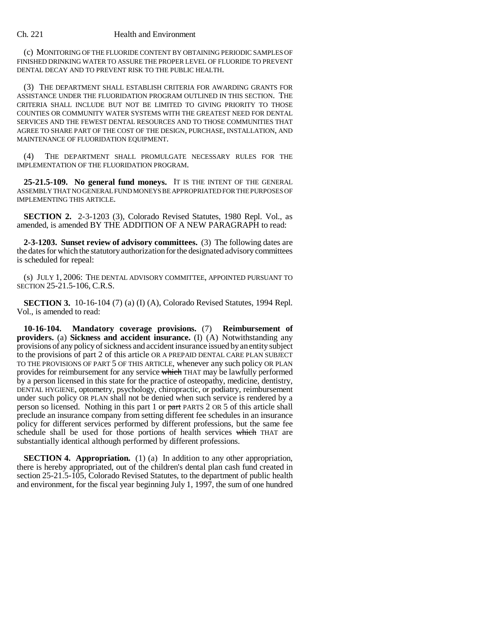(c) MONITORING OF THE FLUORIDE CONTENT BY OBTAINING PERIODIC SAMPLES OF FINISHED DRINKING WATER TO ASSURE THE PROPER LEVEL OF FLUORIDE TO PREVENT DENTAL DECAY AND TO PREVENT RISK TO THE PUBLIC HEALTH.

(3) THE DEPARTMENT SHALL ESTABLISH CRITERIA FOR AWARDING GRANTS FOR ASSISTANCE UNDER THE FLUORIDATION PROGRAM OUTLINED IN THIS SECTION. THE CRITERIA SHALL INCLUDE BUT NOT BE LIMITED TO GIVING PRIORITY TO THOSE COUNTIES OR COMMUNITY WATER SYSTEMS WITH THE GREATEST NEED FOR DENTAL SERVICES AND THE FEWEST DENTAL RESOURCES AND TO THOSE COMMUNITIES THAT AGREE TO SHARE PART OF THE COST OF THE DESIGN, PURCHASE, INSTALLATION, AND MAINTENANCE OF FLUORIDATION EQUIPMENT.

(4) THE DEPARTMENT SHALL PROMULGATE NECESSARY RULES FOR THE IMPLEMENTATION OF THE FLUORIDATION PROGRAM.

**25-21.5-109. No general fund moneys.** IT IS THE INTENT OF THE GENERAL ASSEMBLY THAT NO GENERAL FUND MONEYS BE APPROPRIATED FOR THE PURPOSES OF IMPLEMENTING THIS ARTICLE.

**SECTION 2.** 2-3-1203 (3), Colorado Revised Statutes, 1980 Repl. Vol., as amended, is amended BY THE ADDITION OF A NEW PARAGRAPH to read:

**2-3-1203. Sunset review of advisory committees.** (3) The following dates are the dates for which the statutory authorization for the designated advisory committees is scheduled for repeal:

(s) JULY 1, 2006: THE DENTAL ADVISORY COMMITTEE, APPOINTED PURSUANT TO SECTION 25-21.5-106, C.R.S.

**SECTION 3.** 10-16-104 (7) (a) (I) (A), Colorado Revised Statutes, 1994 Repl. Vol., is amended to read:

**10-16-104. Mandatory coverage provisions.** (7) **Reimbursement of providers.** (a) **Sickness and accident insurance.** (I) (A) Notwithstanding any provisions of any policy of sickness and accident insurance issued by an entity subject to the provisions of part 2 of this article OR A PREPAID DENTAL CARE PLAN SUBJECT TO THE PROVISIONS OF PART 5 OF THIS ARTICLE, whenever any such policy OR PLAN provides for reimbursement for any service which THAT may be lawfully performed by a person licensed in this state for the practice of osteopathy, medicine, dentistry, DENTAL HYGIENE, optometry, psychology, chiropractic, or podiatry, reimbursement under such policy OR PLAN shall not be denied when such service is rendered by a person so licensed. Nothing in this part 1 or part PARTS 2 OR 5 of this article shall preclude an insurance company from setting different fee schedules in an insurance policy for different services performed by different professions, but the same fee schedule shall be used for those portions of health services which THAT are substantially identical although performed by different professions.

**SECTION 4. Appropriation.** (1) (a) In addition to any other appropriation, there is hereby appropriated, out of the children's dental plan cash fund created in section 25-21.5-105, Colorado Revised Statutes, to the department of public health and environment, for the fiscal year beginning July 1, 1997, the sum of one hundred